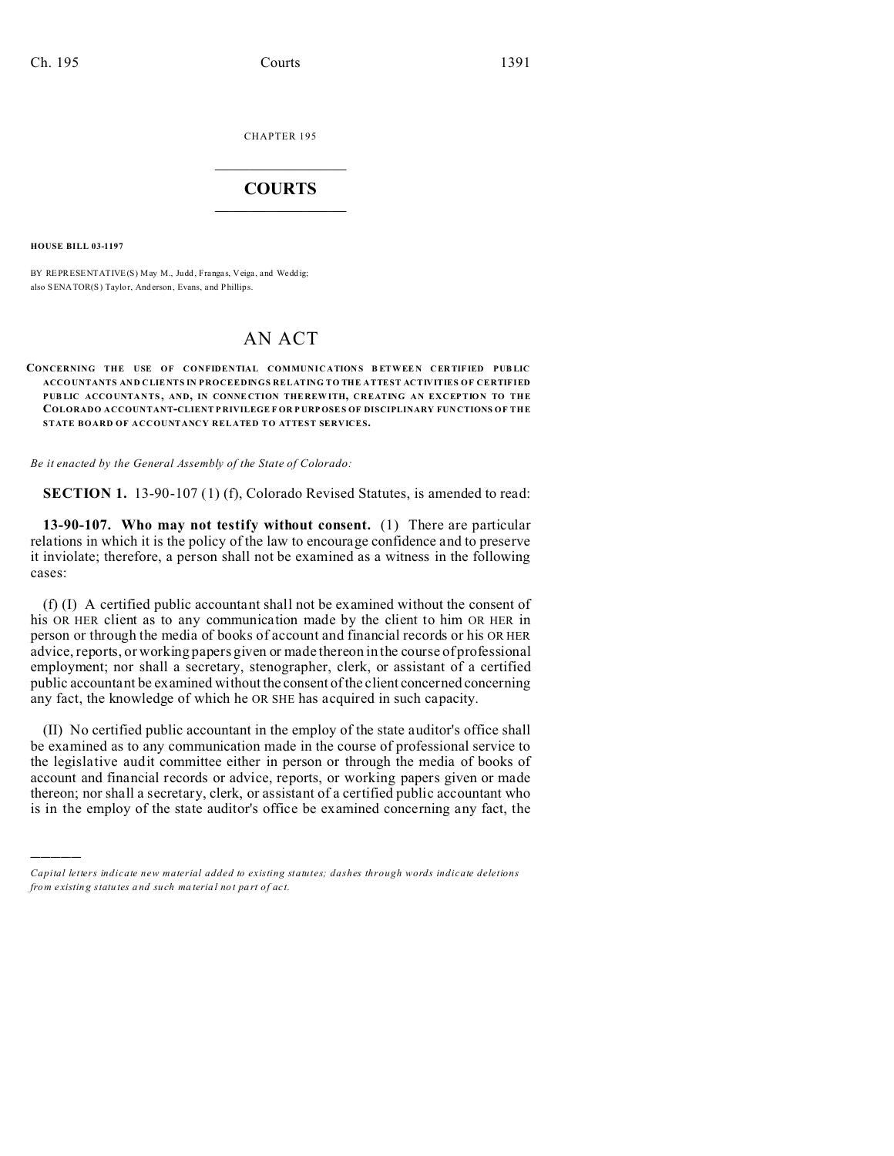CHAPTER 195  $\overline{\phantom{a}}$  , where  $\overline{\phantom{a}}$ 

## **COURTS**  $\_$

**HOUSE BILL 03-1197**

)))))

BY REPRESENTATIVE(S) May M., Judd, Frangas, Veiga, and Weddig; also SENATOR(S) Taylor, And erson, Evans, and Phillips.

# AN ACT

### **CONCERNING THE USE OF CONFIDENTIAL COMMUNICATIONS BETWEEN CERTIFIED PUBLIC ACCO UNTANTS AND CLIE NTS IN PROCEEDINGS RELATING TO THE ATTEST ACTIVITIES OF CERTIFIED PUB LIC ACCOUNTANTS, AND, IN CONNE CTION THE REW ITH, CREATING AN EXCEPTION TO THE COLORADO ACCOUNTANT-CLIENT P RIVILEGE F OR P URPOSES OF DISCIPLINARY FUN CTIONS OF THE STATE BOARD OF ACCOUNTANCY RELATED TO ATTEST SERVICES.**

*Be it enacted by the General Assembly of the State of Colorado:*

**SECTION 1.** 13-90-107 (1) (f), Colorado Revised Statutes, is amended to read:

**13-90-107. Who may not testify without consent.** (1) There are particular relations in which it is the policy of the law to encourage confidence and to preserve it inviolate; therefore, a person shall not be examined as a witness in the following cases:

(f) (I) A certified public accountant shall not be examined without the consent of his OR HER client as to any communication made by the client to him OR HER in person or through the media of books of account and financial records or his OR HER advice, reports, or working papers given or made thereon in the course of professional employment; nor shall a secretary, stenographer, clerk, or assistant of a certified public accountant be examined without the consent of the client concerned concerning any fact, the knowledge of which he OR SHE has acquired in such capacity.

(II) No certified public accountant in the employ of the state auditor's office shall be examined as to any communication made in the course of professional service to the legislative audit committee either in person or through the media of books of account and financial records or advice, reports, or working papers given or made thereon; nor shall a secretary, clerk, or assistant of a certified public accountant who is in the employ of the state auditor's office be examined concerning any fact, the

*Capital letters indicate new material added to existing statutes; dashes through words indicate deletions from e xistin g statu tes a nd such ma teria l no t pa rt of ac t.*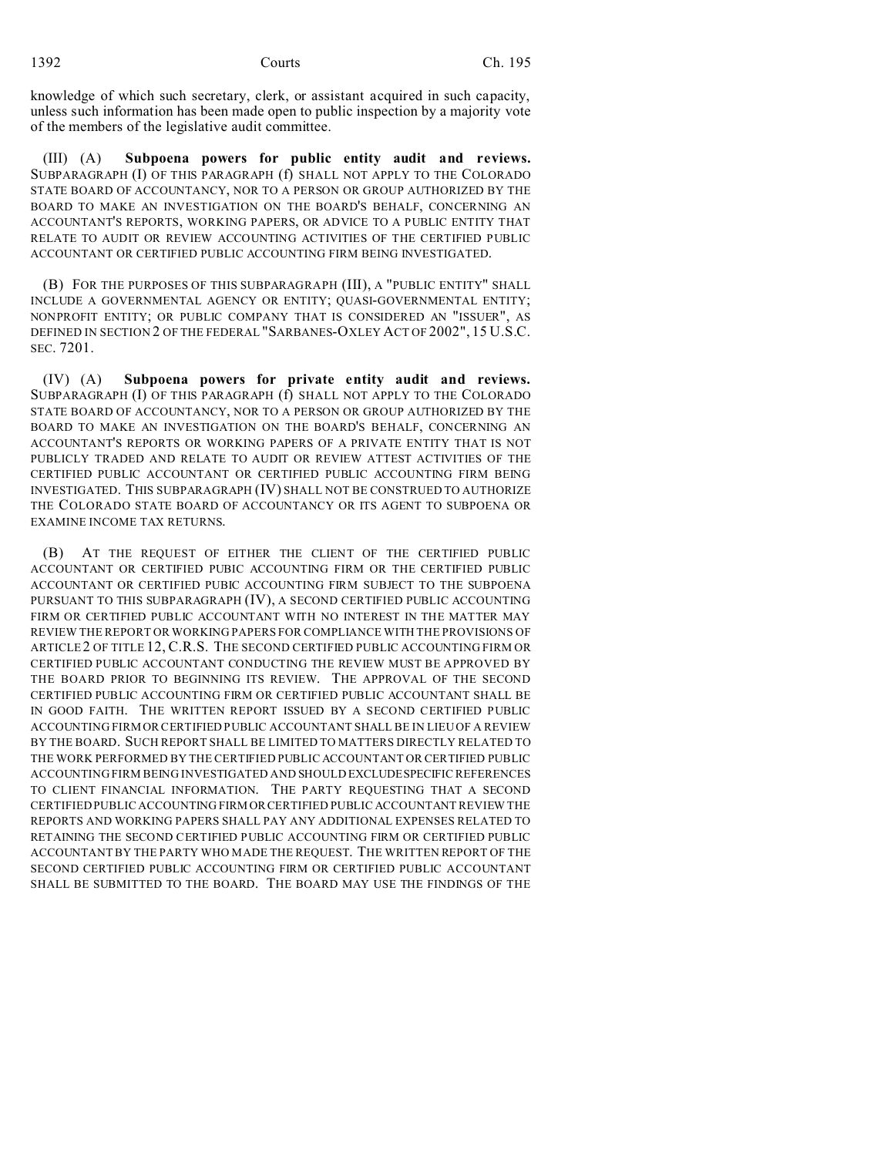knowledge of which such secretary, clerk, or assistant acquired in such capacity, unless such information has been made open to public inspection by a majority vote of the members of the legislative audit committee.

(III) (A) **Subpoena powers for public entity audit and reviews.** SUBPARAGRAPH (I) OF THIS PARAGRAPH (f) SHALL NOT APPLY TO THE COLORADO STATE BOARD OF ACCOUNTANCY, NOR TO A PERSON OR GROUP AUTHORIZED BY THE BOARD TO MAKE AN INVESTIGATION ON THE BOARD'S BEHALF, CONCERNING AN ACCOUNTANT'S REPORTS, WORKING PAPERS, OR ADVICE TO A PUBLIC ENTITY THAT RELATE TO AUDIT OR REVIEW ACCOUNTING ACTIVITIES OF THE CERTIFIED PUBLIC ACCOUNTANT OR CERTIFIED PUBLIC ACCOUNTING FIRM BEING INVESTIGATED.

(B) FOR THE PURPOSES OF THIS SUBPARAGRAPH (III), A "PUBLIC ENTITY" SHALL INCLUDE A GOVERNMENTAL AGENCY OR ENTITY; QUASI-GOVERNMENTAL ENTITY; NONPROFIT ENTITY; OR PUBLIC COMPANY THAT IS CONSIDERED AN "ISSUER", AS DEFINED IN SECTION 2 OF THE FEDERAL "SARBANES-OXLEY ACT OF 2002", 15 U.S.C. SEC. 7201.

(IV) (A) **Subpoena powers for private entity audit and reviews.** SUBPARAGRAPH (I) OF THIS PARAGRAPH (f) SHALL NOT APPLY TO THE COLORADO STATE BOARD OF ACCOUNTANCY, NOR TO A PERSON OR GROUP AUTHORIZED BY THE BOARD TO MAKE AN INVESTIGATION ON THE BOARD'S BEHALF, CONCERNING AN ACCOUNTANT'S REPORTS OR WORKING PAPERS OF A PRIVATE ENTITY THAT IS NOT PUBLICLY TRADED AND RELATE TO AUDIT OR REVIEW ATTEST ACTIVITIES OF THE CERTIFIED PUBLIC ACCOUNTANT OR CERTIFIED PUBLIC ACCOUNTING FIRM BEING INVESTIGATED. THIS SUBPARAGRAPH (IV) SHALL NOT BE CONSTRUED TO AUTHORIZE THE COLORADO STATE BOARD OF ACCOUNTANCY OR ITS AGENT TO SUBPOENA OR EXAMINE INCOME TAX RETURNS.

(B) AT THE REQUEST OF EITHER THE CLIENT OF THE CERTIFIED PUBLIC ACCOUNTANT OR CERTIFIED PUBIC ACCOUNTING FIRM OR THE CERTIFIED PUBLIC ACCOUNTANT OR CERTIFIED PUBIC ACCOUNTING FIRM SUBJECT TO THE SUBPOENA PURSUANT TO THIS SUBPARAGRAPH (IV), A SECOND CERTIFIED PUBLIC ACCOUNTING FIRM OR CERTIFIED PUBLIC ACCOUNTANT WITH NO INTEREST IN THE MATTER MAY REVIEW THE REPORT OR WORKING PAPERS FOR COMPLIANCE WITH THE PROVISIONS OF ARTICLE 2 OF TITLE 12, C.R.S. THE SECOND CERTIFIED PUBLIC ACCOUNTING FIRM OR CERTIFIED PUBLIC ACCOUNTANT CONDUCTING THE REVIEW MUST BE APPROVED BY THE BOARD PRIOR TO BEGINNING ITS REVIEW. THE APPROVAL OF THE SECOND CERTIFIED PUBLIC ACCOUNTING FIRM OR CERTIFIED PUBLIC ACCOUNTANT SHALL BE IN GOOD FAITH. THE WRITTEN REPORT ISSUED BY A SECOND CERTIFIED PUBLIC ACCOUNTING FIRM OR CERTIFIED PUBLIC ACCOUNTANT SHALL BE IN LIEU OF A REVIEW BY THE BOARD. SUCH REPORT SHALL BE LIMITED TO MATTERS DIRECTLY RELATED TO THE WORK PERFORMED BY THE CERTIFIED PUBLIC ACCOUNTANT OR CERTIFIED PUBLIC ACCOUNTING FIRM BEING INVESTIGATED AND SHOULD EXCLUDESPECIFIC REFERENCES TO CLIENT FINANCIAL INFORMATION. THE PARTY REQUESTING THAT A SECOND CERTIFIED PUBLIC ACCOUNTING FIRM ORCERTIFIED PUBLIC ACCOUNTANT REVIEW THE REPORTS AND WORKING PAPERS SHALL PAY ANY ADDITIONAL EXPENSES RELATED TO RETAINING THE SECOND CERTIFIED PUBLIC ACCOUNTING FIRM OR CERTIFIED PUBLIC ACCOUNTANT BY THE PARTY WHO MADE THE REQUEST. THE WRITTEN REPORT OF THE SECOND CERTIFIED PUBLIC ACCOUNTING FIRM OR CERTIFIED PUBLIC ACCOUNTANT SHALL BE SUBMITTED TO THE BOARD. THE BOARD MAY USE THE FINDINGS OF THE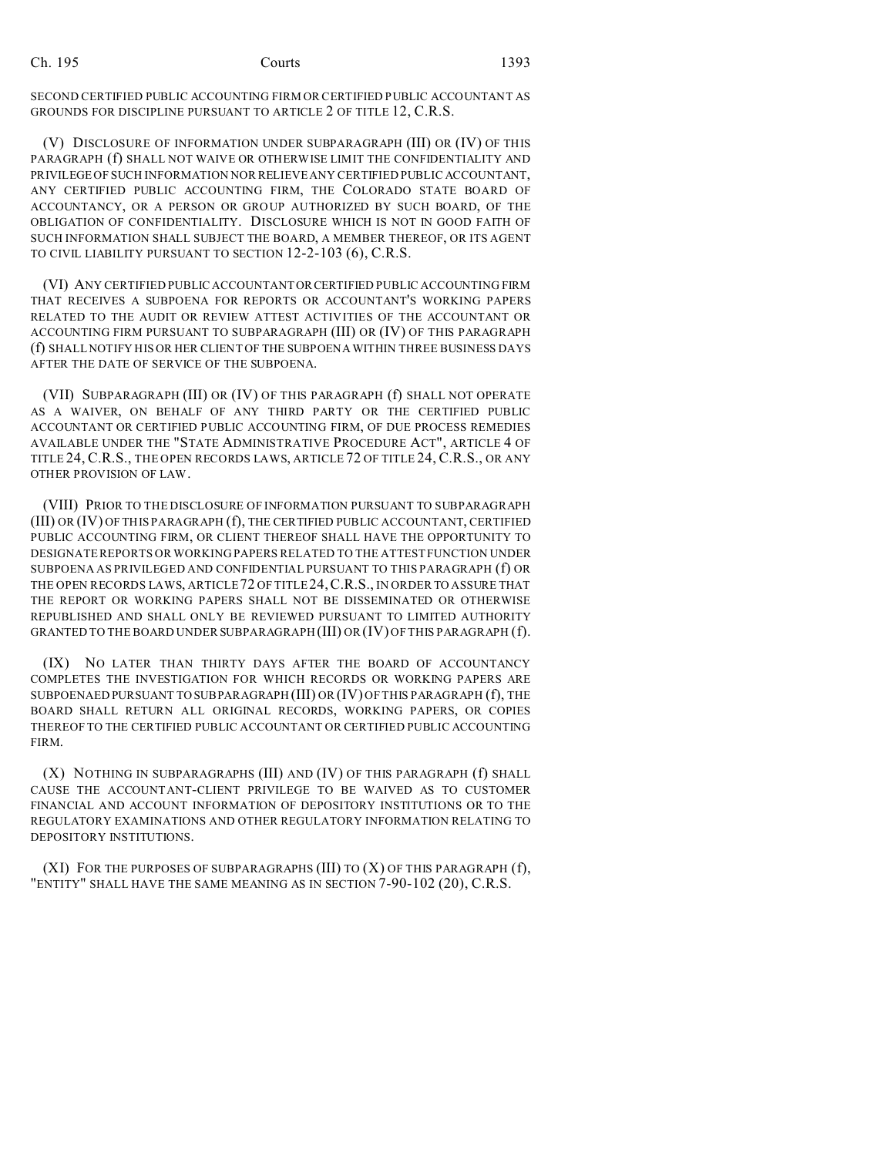SECOND CERTIFIED PUBLIC ACCOUNTING FIRM OR CERTIFIED PUBLIC ACCOUNTANT AS GROUNDS FOR DISCIPLINE PURSUANT TO ARTICLE 2 OF TITLE 12, C.R.S.

(V) DISCLOSURE OF INFORMATION UNDER SUBPARAGRAPH (III) OR (IV) OF THIS PARAGRAPH (f) SHALL NOT WAIVE OR OTHERWISE LIMIT THE CONFIDENTIALITY AND PRIVILEGE OF SUCH INFORMATION NOR RELIEVE ANY CERTIFIED PUBLIC ACCOUNTANT, ANY CERTIFIED PUBLIC ACCOUNTING FIRM, THE COLORADO STATE BOARD OF ACCOUNTANCY, OR A PERSON OR GROUP AUTHORIZED BY SUCH BOARD, OF THE OBLIGATION OF CONFIDENTIALITY. DISCLOSURE WHICH IS NOT IN GOOD FAITH OF SUCH INFORMATION SHALL SUBJECT THE BOARD, A MEMBER THEREOF, OR ITS AGENT TO CIVIL LIABILITY PURSUANT TO SECTION 12-2-103 (6), C.R.S.

(VI) ANY CERTIFIED PUBLIC ACCOUNTANT ORCERTIFIED PUBLIC ACCOUNTING FIRM THAT RECEIVES A SUBPOENA FOR REPORTS OR ACCOUNTANT'S WORKING PAPERS RELATED TO THE AUDIT OR REVIEW ATTEST ACTIVITIES OF THE ACCOUNTANT OR ACCOUNTING FIRM PURSUANT TO SUBPARAGRAPH (III) OR (IV) OF THIS PARAGRAPH (f) SHALL NOTIFY HIS OR HER CLIENT OF THE SUBPOENA WITHIN THREE BUSINESS DAYS AFTER THE DATE OF SERVICE OF THE SUBPOENA.

(VII) SUBPARAGRAPH (III) OR (IV) OF THIS PARAGRAPH (f) SHALL NOT OPERATE AS A WAIVER, ON BEHALF OF ANY THIRD PARTY OR THE CERTIFIED PUBLIC ACCOUNTANT OR CERTIFIED PUBLIC ACCOUNTING FIRM, OF DUE PROCESS REMEDIES AVAILABLE UNDER THE "STATE ADMINISTRATIVE PROCEDURE ACT", ARTICLE 4 OF TITLE 24, C.R.S., THE OPEN RECORDS LAWS, ARTICLE 72 OF TITLE 24, C.R.S., OR ANY OTHER PROVISION OF LAW.

(VIII) PRIOR TO THE DISCLOSURE OF INFORMATION PURSUANT TO SUBPARAGRAPH (III) OR (IV) OF THIS PARAGRAPH (f), THE CERTIFIED PUBLIC ACCOUNTANT, CERTIFIED PUBLIC ACCOUNTING FIRM, OR CLIENT THEREOF SHALL HAVE THE OPPORTUNITY TO DESIGNATE REPORTS OR WORKING PAPERS RELATED TO THE ATTEST FUNCTION UNDER SUBPOENA AS PRIVILEGED AND CONFIDENTIAL PURSUANT TO THIS PARAGRAPH (f) OR THE OPEN RECORDS LAWS, ARTICLE 72 OF TITLE 24, C.R.S., IN ORDER TO ASSURE THAT THE REPORT OR WORKING PAPERS SHALL NOT BE DISSEMINATED OR OTHERWISE REPUBLISHED AND SHALL ONLY BE REVIEWED PURSUANT TO LIMITED AUTHORITY GRANTED TO THE BOARD UNDER SUBPARAGRAPH (III) OR (IV) OF THIS PARAGRAPH (f).

(IX) NO LATER THAN THIRTY DAYS AFTER THE BOARD OF ACCOUNTANCY COMPLETES THE INVESTIGATION FOR WHICH RECORDS OR WORKING PAPERS ARE SUBPOENAED PURSUANT TO SUBPARAGRAPH (III) OR (IV) OF THIS PARAGRAPH (f), THE BOARD SHALL RETURN ALL ORIGINAL RECORDS, WORKING PAPERS, OR COPIES THEREOF TO THE CERTIFIED PUBLIC ACCOUNTANT OR CERTIFIED PUBLIC ACCOUNTING FIRM.

(X) NOTHING IN SUBPARAGRAPHS (III) AND (IV) OF THIS PARAGRAPH (f) SHALL CAUSE THE ACCOUNTANT-CLIENT PRIVILEGE TO BE WAIVED AS TO CUSTOMER FINANCIAL AND ACCOUNT INFORMATION OF DEPOSITORY INSTITUTIONS OR TO THE REGULATORY EXAMINATIONS AND OTHER REGULATORY INFORMATION RELATING TO DEPOSITORY INSTITUTIONS.

(XI) FOR THE PURPOSES OF SUBPARAGRAPHS (III) TO (X) OF THIS PARAGRAPH (f), "ENTITY" SHALL HAVE THE SAME MEANING AS IN SECTION 7-90-102 (20), C.R.S.